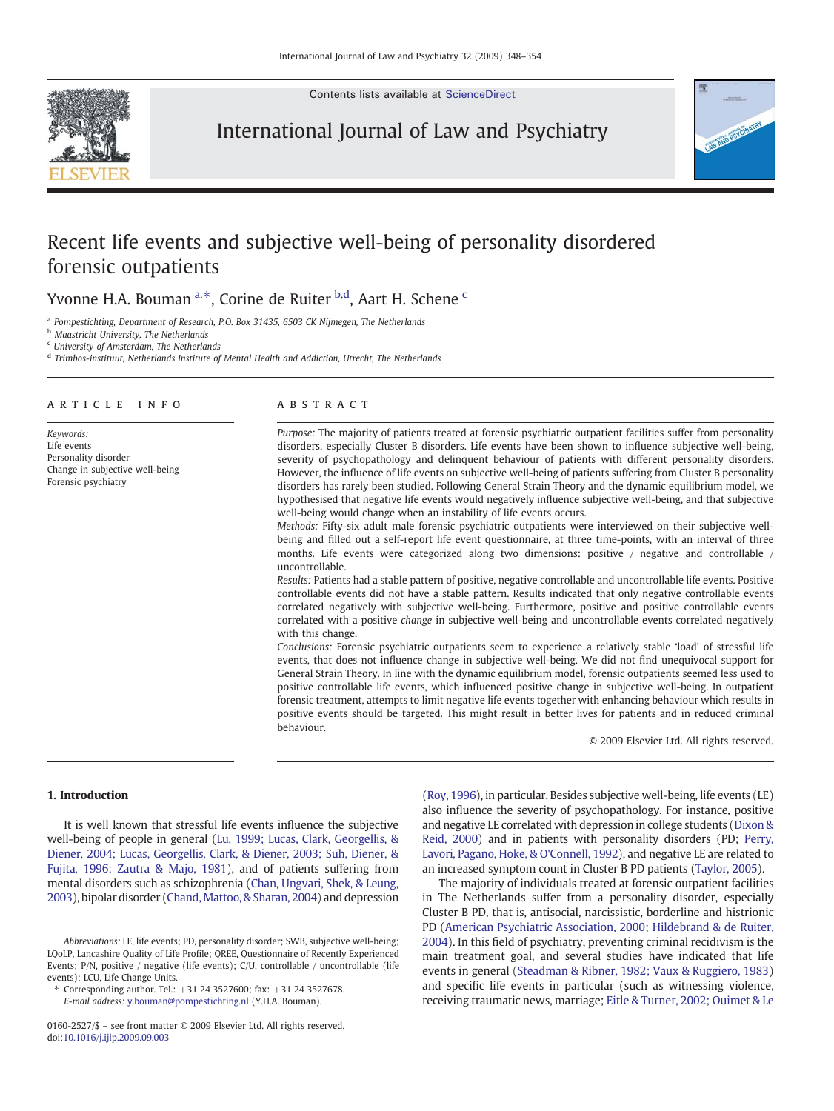Contents lists available at [ScienceDirect](http://www.sciencedirect.com/science/journal/01602527)



International Journal of Law and Psychiatry



# Recent life events and subjective well-being of personality disordered forensic outpatients

Yvonne H.A. Bouman <sup>a,\*</sup>, Corine de Ruiter <sup>b,d</sup>, Aart H. Schene <sup>c</sup>

<sup>a</sup> Pompestichting, Department of Research, P.O. Box 31435, 6503 CK Nijmegen, The Netherlands

**b** Maastricht University, The Netherlands

<sup>c</sup> University of Amsterdam, The Netherlands

<sup>d</sup> Trimbos-instituut, Netherlands Institute of Mental Health and Addiction, Utrecht, The Netherlands

# article info abstract

Keywords: Life events Personality disorder Change in subjective well-being Forensic psychiatry

Purpose: The majority of patients treated at forensic psychiatric outpatient facilities suffer from personality disorders, especially Cluster B disorders. Life events have been shown to influence subjective well-being, severity of psychopathology and delinquent behaviour of patients with different personality disorders. However, the influence of life events on subjective well-being of patients suffering from Cluster B personality disorders has rarely been studied. Following General Strain Theory and the dynamic equilibrium model, we hypothesised that negative life events would negatively influence subjective well-being, and that subjective well-being would change when an instability of life events occurs.

Methods: Fifty-six adult male forensic psychiatric outpatients were interviewed on their subjective wellbeing and filled out a self-report life event questionnaire, at three time-points, with an interval of three months. Life events were categorized along two dimensions: positive / negative and controllable / uncontrollable.

Results: Patients had a stable pattern of positive, negative controllable and uncontrollable life events. Positive controllable events did not have a stable pattern. Results indicated that only negative controllable events correlated negatively with subjective well-being. Furthermore, positive and positive controllable events correlated with a positive change in subjective well-being and uncontrollable events correlated negatively with this change.

Conclusions: Forensic psychiatric outpatients seem to experience a relatively stable 'load' of stressful life events, that does not influence change in subjective well-being. We did not find unequivocal support for General Strain Theory. In line with the dynamic equilibrium model, forensic outpatients seemed less used to positive controllable life events, which influenced positive change in subjective well-being. In outpatient forensic treatment, attempts to limit negative life events together with enhancing behaviour which results in positive events should be targeted. This might result in better lives for patients and in reduced criminal behaviour.

© 2009 Elsevier Ltd. All rights reserved.

# 1. Introduction

It is well known that stressful life events influence the subjective well-being of people in general ([Lu, 1999; Lucas, Clark, Georgellis, &](#page-5-0) [Diener, 2004; Lucas, Georgellis, Clark, & Diener, 2003; Suh, Diener, &](#page-5-0) [Fujita, 1996; Zautra & Majo, 1981\)](#page-5-0), and of patients suffering from mental disorders such as schizophrenia [\(Chan, Ungvari, Shek, & Leung,](#page-5-0) [2003\)](#page-5-0), bipolar disorder (Chand, Mattoo, & Sharan, 2004) and depression

E-mail address: [y.bouman@pompestichting.nl](mailto:y.bouman@pompestichting.nl) (Y.H.A. Bouman).

[\(Roy, 1996\)](#page-5-0), in particular. Besides subjective well-being, life events (LE) also influence the severity of psychopathology. For instance, positive and negative LE correlated with depression in college students ([Dixon &](#page-5-0) [Reid, 2000](#page-5-0)) and in patients with personality disorders (PD; [Perry,](#page-5-0) [Lavori, Pagano, Hoke, & O'Connell, 1992](#page-5-0)), and negative LE are related to an increased symptom count in Cluster B PD patients ([Taylor, 2005](#page-5-0)).

The majority of individuals treated at forensic outpatient facilities in The Netherlands suffer from a personality disorder, especially Cluster B PD, that is, antisocial, narcissistic, borderline and histrionic PD ([American Psychiatric Association, 2000; Hildebrand & de Ruiter,](#page-5-0) [2004\)](#page-5-0). In this field of psychiatry, preventing criminal recidivism is the main treatment goal, and several studies have indicated that life events in general ([Steadman & Ribner, 1982; Vaux & Ruggiero, 1983](#page-5-0)) and specific life events in particular (such as witnessing violence, receiving traumatic news, marriage; [Eitle & Turner, 2002; Ouimet & Le](#page-5-0)

Abbreviations: LE, life events; PD, personality disorder; SWB, subjective well-being; LQoLP, Lancashire Quality of Life Profile; QREE, Questionnaire of Recently Experienced Events; P/N, positive / negative (life events); C/U, controllable / uncontrollable (life events); LCU, Life Change Units.

<sup>⁎</sup> Corresponding author. Tel.: +31 24 3527600; fax: +31 24 3527678.

<sup>0160-2527/\$</sup> – see front matter © 2009 Elsevier Ltd. All rights reserved. doi[:10.1016/j.ijlp.2009.09.003](http://dx.doi.org/10.1016/j.ijlp.2009.09.003)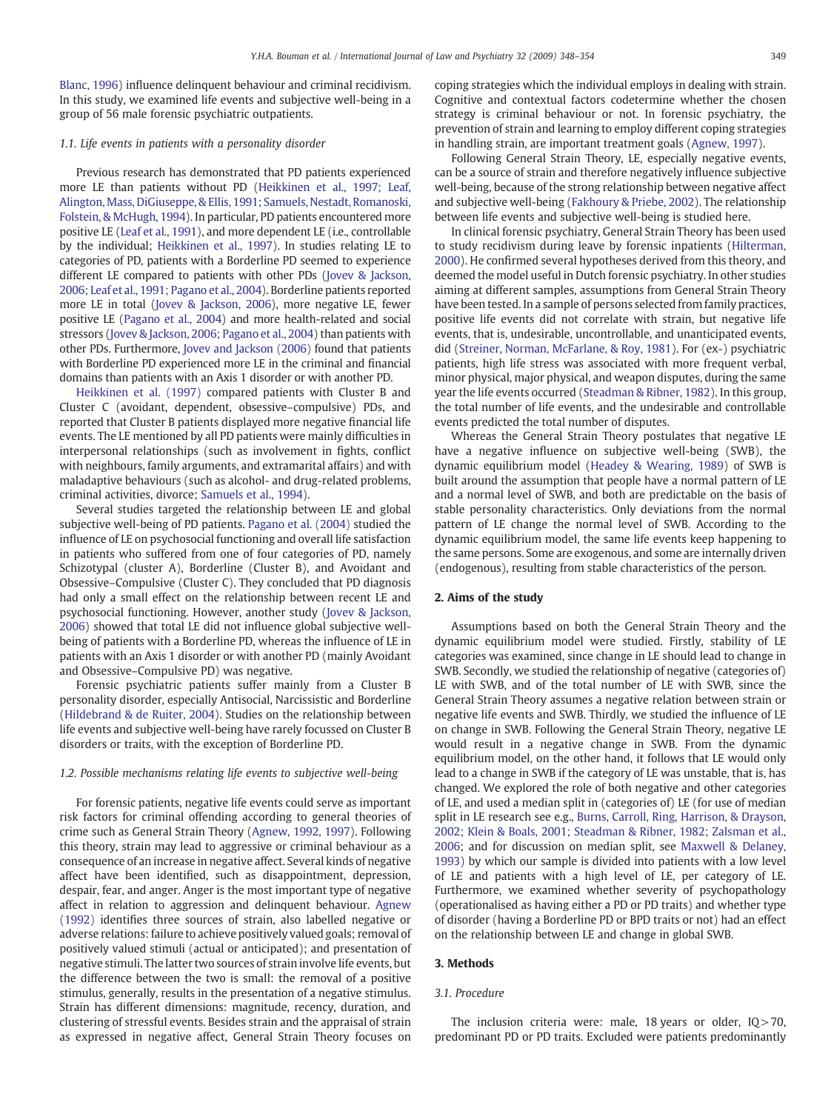[Blanc, 1996](#page-5-0)) influence delinquent behaviour and criminal recidivism. In this study, we examined life events and subjective well-being in a group of 56 male forensic psychiatric outpatients.

# 1.1. Life events in patients with a personality disorder

Previous research has demonstrated that PD patients experienced more LE than patients without PD ([Heikkinen et al., 1997; Leaf,](#page-5-0) [Alington, Mass, DiGiuseppe, & Ellis, 1991; Samuels, Nestadt, Romanoski,](#page-5-0) [Folstein, & McHugh, 1994](#page-5-0)). In particular, PD patients encountered more positive LE [\(Leaf et al., 1991\)](#page-5-0), and more dependent LE (i.e., controllable by the individual; [Heikkinen et al., 1997\)](#page-5-0). In studies relating LE to categories of PD, patients with a Borderline PD seemed to experience different LE compared to patients with other PDs [\(Jovev & Jackson,](#page-5-0) [2006; Leaf et al., 1991; Pagano et al., 2004\)](#page-5-0). Borderline patients reported more LE in total [\(Jovev & Jackson, 2006\)](#page-5-0), more negative LE, fewer positive LE ([Pagano et al., 2004](#page-5-0)) and more health-related and social stressors ([Jovev & Jackson, 2006; Pagano et al., 2004\)](#page-5-0) than patients with other PDs. Furthermore, [Jovev and Jackson \(2006\)](#page-5-0) found that patients with Borderline PD experienced more LE in the criminal and financial domains than patients with an Axis 1 disorder or with another PD.

[Heikkinen et al. \(1997\)](#page-5-0) compared patients with Cluster B and Cluster C (avoidant, dependent, obsessive–compulsive) PDs, and reported that Cluster B patients displayed more negative financial life events. The LE mentioned by all PD patients were mainly difficulties in interpersonal relationships (such as involvement in fights, conflict with neighbours, family arguments, and extramarital affairs) and with maladaptive behaviours (such as alcohol- and drug-related problems, criminal activities, divorce; [Samuels et al., 1994](#page-5-0)).

Several studies targeted the relationship between LE and global subjective well-being of PD patients. [Pagano et al. \(2004\)](#page-5-0) studied the influence of LE on psychosocial functioning and overall life satisfaction in patients who suffered from one of four categories of PD, namely Schizotypal (cluster A), Borderline (Cluster B), and Avoidant and Obsessive–Compulsive (Cluster C). They concluded that PD diagnosis had only a small effect on the relationship between recent LE and psychosocial functioning. However, another study [\(Jovev & Jackson,](#page-5-0) [2006\)](#page-5-0) showed that total LE did not influence global subjective wellbeing of patients with a Borderline PD, whereas the influence of LE in patients with an Axis 1 disorder or with another PD (mainly Avoidant and Obsessive–Compulsive PD) was negative.

Forensic psychiatric patients suffer mainly from a Cluster B personality disorder, especially Antisocial, Narcissistic and Borderline [\(Hildebrand & de Ruiter, 2004](#page-5-0)). Studies on the relationship between life events and subjective well-being have rarely focussed on Cluster B disorders or traits, with the exception of Borderline PD.

### 1.2. Possible mechanisms relating life events to subjective well-being

For forensic patients, negative life events could serve as important risk factors for criminal offending according to general theories of crime such as General Strain Theory [\(Agnew, 1992, 1997](#page-5-0)). Following this theory, strain may lead to aggressive or criminal behaviour as a consequence of an increase in negative affect. Several kinds of negative affect have been identified, such as disappointment, depression, despair, fear, and anger. Anger is the most important type of negative affect in relation to aggression and delinquent behaviour. [Agnew](#page-5-0) [\(1992\)](#page-5-0) identifies three sources of strain, also labelled negative or adverse relations: failure to achieve positively valued goals; removal of positively valued stimuli (actual or anticipated); and presentation of negative stimuli. The latter two sources of strain involve life events, but the difference between the two is small: the removal of a positive stimulus, generally, results in the presentation of a negative stimulus. Strain has different dimensions: magnitude, recency, duration, and clustering of stressful events. Besides strain and the appraisal of strain as expressed in negative affect, General Strain Theory focuses on

coping strategies which the individual employs in dealing with strain. Cognitive and contextual factors codetermine whether the chosen strategy is criminal behaviour or not. In forensic psychiatry, the prevention of strain and learning to employ different coping strategies in handling strain, are important treatment goals ([Agnew, 1997](#page-5-0)).

Following General Strain Theory, LE, especially negative events, can be a source of strain and therefore negatively influence subjective well-being, because of the strong relationship between negative affect and subjective well-being [\(Fakhoury & Priebe, 2002\)](#page-5-0). The relationship between life events and subjective well-being is studied here.

In clinical forensic psychiatry, General Strain Theory has been used to study recidivism during leave by forensic inpatients ([Hilterman,](#page-5-0) [2000\)](#page-5-0). He confirmed several hypotheses derived from this theory, and deemed the model useful in Dutch forensic psychiatry. In other studies aiming at different samples, assumptions from General Strain Theory have been tested. In a sample of persons selected from family practices, positive life events did not correlate with strain, but negative life events, that is, undesirable, uncontrollable, and unanticipated events, did [\(Streiner, Norman, McFarlane, & Roy, 1981\)](#page-5-0). For (ex-) psychiatric patients, high life stress was associated with more frequent verbal, minor physical, major physical, and weapon disputes, during the same year the life events occurred ([Steadman & Ribner, 1982](#page-5-0)). In this group, the total number of life events, and the undesirable and controllable events predicted the total number of disputes.

Whereas the General Strain Theory postulates that negative LE have a negative influence on subjective well-being (SWB), the dynamic equilibrium model ([Headey & Wearing, 1989\)](#page-5-0) of SWB is built around the assumption that people have a normal pattern of LE and a normal level of SWB, and both are predictable on the basis of stable personality characteristics. Only deviations from the normal pattern of LE change the normal level of SWB. According to the dynamic equilibrium model, the same life events keep happening to the same persons. Some are exogenous, and some are internally driven (endogenous), resulting from stable characteristics of the person.

# 2. Aims of the study

Assumptions based on both the General Strain Theory and the dynamic equilibrium model were studied. Firstly, stability of LE categories was examined, since change in LE should lead to change in SWB. Secondly, we studied the relationship of negative (categories of) LE with SWB, and of the total number of LE with SWB, since the General Strain Theory assumes a negative relation between strain or negative life events and SWB. Thirdly, we studied the influence of LE on change in SWB. Following the General Strain Theory, negative LE would result in a negative change in SWB. From the dynamic equilibrium model, on the other hand, it follows that LE would only lead to a change in SWB if the category of LE was unstable, that is, has changed. We explored the role of both negative and other categories of LE, and used a median split in (categories of) LE (for use of median split in LE research see e.g., [Burns, Carroll, Ring, Harrison, & Drayson,](#page-5-0) [2002; Klein & Boals, 2001; Steadman & Ribner, 1982; Zalsman et al.,](#page-5-0) [2006;](#page-5-0) and for discussion on median split, see [Maxwell & Delaney,](#page-5-0) [1993\)](#page-5-0) by which our sample is divided into patients with a low level of LE and patients with a high level of LE, per category of LE. Furthermore, we examined whether severity of psychopathology (operationalised as having either a PD or PD traits) and whether type of disorder (having a Borderline PD or BPD traits or not) had an effect on the relationship between LE and change in global SWB.

# 3. Methods

### 3.1. Procedure

The inclusion criteria were: male, 18 years or older,  $IQ > 70$ , predominant PD or PD traits. Excluded were patients predominantly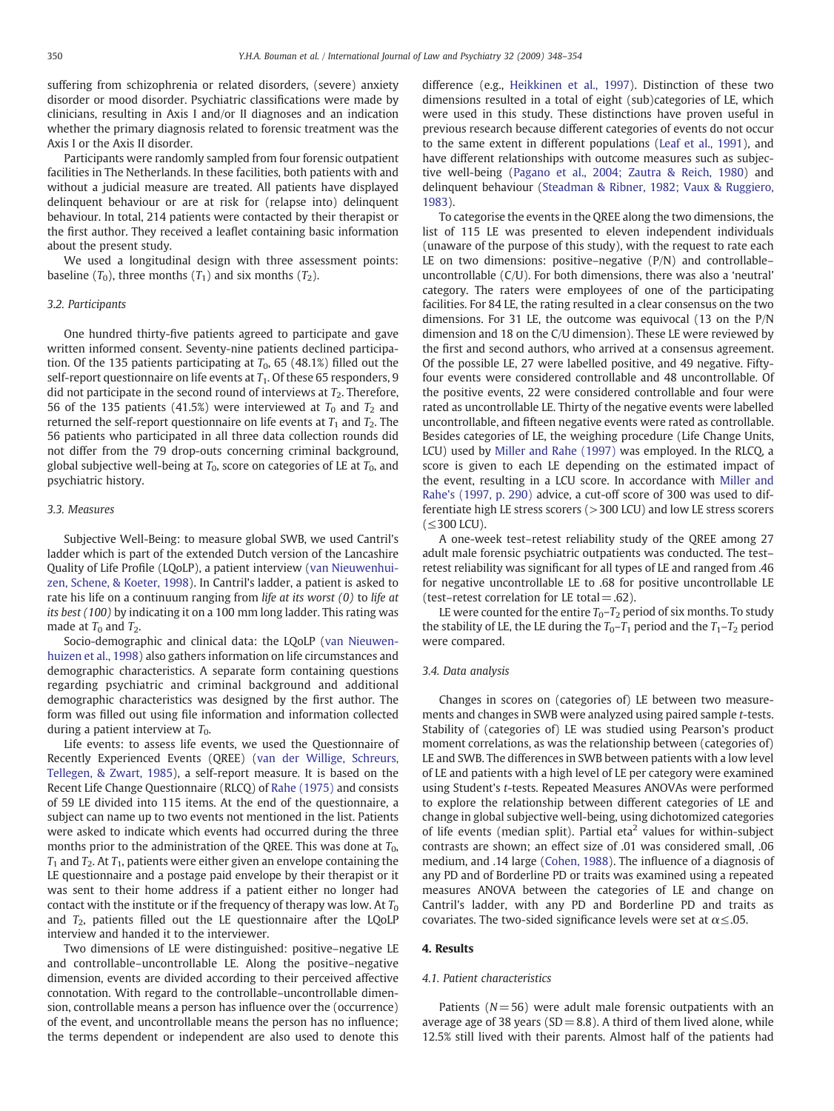suffering from schizophrenia or related disorders, (severe) anxiety disorder or mood disorder. Psychiatric classifications were made by clinicians, resulting in Axis I and/or II diagnoses and an indication whether the primary diagnosis related to forensic treatment was the Axis I or the Axis II disorder.

Participants were randomly sampled from four forensic outpatient facilities in The Netherlands. In these facilities, both patients with and without a judicial measure are treated. All patients have displayed delinquent behaviour or are at risk for (relapse into) delinquent behaviour. In total, 214 patients were contacted by their therapist or the first author. They received a leaflet containing basic information about the present study.

We used a longitudinal design with three assessment points: baseline  $(T_0)$ , three months  $(T_1)$  and six months  $(T_2)$ .

#### 3.2. Participants

One hundred thirty-five patients agreed to participate and gave written informed consent. Seventy-nine patients declined participation. Of the 135 patients participating at  $T_0$ , 65 (48.1%) filled out the self-report questionnaire on life events at  $T_1$ . Of these 65 responders, 9 did not participate in the second round of interviews at  $T_2$ . Therefore, 56 of the 135 patients (41.5%) were interviewed at  $T_0$  and  $T_2$  and returned the self-report questionnaire on life events at  $T_1$  and  $T_2$ . The 56 patients who participated in all three data collection rounds did not differ from the 79 drop-outs concerning criminal background, global subjective well-being at  $T_0$ , score on categories of LE at  $T_0$ , and psychiatric history.

#### 3.3. Measures

Subjective Well-Being: to measure global SWB, we used Cantril's ladder which is part of the extended Dutch version of the Lancashire Quality of Life Profile (LQoLP), a patient interview ([van Nieuwenhui](#page-5-0)[zen, Schene, & Koeter, 1998\)](#page-5-0). In Cantril's ladder, a patient is asked to rate his life on a continuum ranging from life at its worst  $(0)$  to life at its best (100) by indicating it on a 100 mm long ladder. This rating was made at  $T_0$  and  $T_2$ .

Socio-demographic and clinical data: the LQoLP [\(van Nieuwen](#page-5-0)[huizen et al., 1998\)](#page-5-0) also gathers information on life circumstances and demographic characteristics. A separate form containing questions regarding psychiatric and criminal background and additional demographic characteristics was designed by the first author. The form was filled out using file information and information collected during a patient interview at  $T_0$ .

Life events: to assess life events, we used the Questionnaire of Recently Experienced Events (QREE) ([van der Willige, Schreurs,](#page-5-0) [Tellegen, & Zwart, 1985](#page-5-0)), a self-report measure. It is based on the Recent Life Change Questionnaire (RLCQ) of [Rahe \(1975\)](#page-5-0) and consists of 59 LE divided into 115 items. At the end of the questionnaire, a subject can name up to two events not mentioned in the list. Patients were asked to indicate which events had occurred during the three months prior to the administration of the QREE. This was done at  $T_0$ ,  $T_1$  and  $T_2$ . At  $T_1$ , patients were either given an envelope containing the LE questionnaire and a postage paid envelope by their therapist or it was sent to their home address if a patient either no longer had contact with the institute or if the frequency of therapy was low. At  $T_0$ and  $T_2$ , patients filled out the LE questionnaire after the LQoLP interview and handed it to the interviewer.

Two dimensions of LE were distinguished: positive–negative LE and controllable–uncontrollable LE. Along the positive–negative dimension, events are divided according to their perceived affective connotation. With regard to the controllable–uncontrollable dimension, controllable means a person has influence over the (occurrence) of the event, and uncontrollable means the person has no influence; the terms dependent or independent are also used to denote this difference (e.g., [Heikkinen et al., 1997\)](#page-5-0). Distinction of these two dimensions resulted in a total of eight (sub)categories of LE, which were used in this study. These distinctions have proven useful in previous research because different categories of events do not occur to the same extent in different populations ([Leaf et al., 1991\)](#page-5-0), and have different relationships with outcome measures such as subjective well-being ([Pagano et al., 2004; Zautra & Reich, 1980](#page-5-0)) and delinquent behaviour ([Steadman & Ribner, 1982; Vaux & Ruggiero,](#page-5-0) [1983\)](#page-5-0).

To categorise the events in the QREE along the two dimensions, the list of 115 LE was presented to eleven independent individuals (unaware of the purpose of this study), with the request to rate each LE on two dimensions: positive–negative (P/N) and controllable– uncontrollable (C/U). For both dimensions, there was also a 'neutral' category. The raters were employees of one of the participating facilities. For 84 LE, the rating resulted in a clear consensus on the two dimensions. For 31 LE, the outcome was equivocal (13 on the P/N dimension and 18 on the C/U dimension). These LE were reviewed by the first and second authors, who arrived at a consensus agreement. Of the possible LE, 27 were labelled positive, and 49 negative. Fiftyfour events were considered controllable and 48 uncontrollable. Of the positive events, 22 were considered controllable and four were rated as uncontrollable LE. Thirty of the negative events were labelled uncontrollable, and fifteen negative events were rated as controllable. Besides categories of LE, the weighing procedure (Life Change Units, LCU) used by [Miller and Rahe \(1997\)](#page-5-0) was employed. In the RLCQ, a score is given to each LE depending on the estimated impact of the event, resulting in a LCU score. In accordance with [Miller and](#page-5-0) [Rahe's \(1997, p. 290\)](#page-5-0) advice, a cut-off score of 300 was used to differentiate high LE stress scorers (>300 LCU) and low LE stress scorers (≤300 LCU).

A one-week test–retest reliability study of the QREE among 27 adult male forensic psychiatric outpatients was conducted. The test– retest reliability was significant for all types of LE and ranged from .46 for negative uncontrollable LE to .68 for positive uncontrollable LE (test–retest correlation for LE total  $= .62$ ).

LE were counted for the entire  $T_0 - T_2$  period of six months. To study the stability of LE, the LE during the  $T_0-T_1$  period and the  $T_1-T_2$  period were compared.

# 3.4. Data analysis

Changes in scores on (categories of) LE between two measurements and changes in SWB were analyzed using paired sample t-tests. Stability of (categories of) LE was studied using Pearson's product moment correlations, as was the relationship between (categories of) LE and SWB. The differences in SWB between patients with a low level of LE and patients with a high level of LE per category were examined using Student's t-tests. Repeated Measures ANOVAs were performed to explore the relationship between different categories of LE and change in global subjective well-being, using dichotomized categories of life events (median split). Partial eta<sup>2</sup> values for within-subject contrasts are shown; an effect size of .01 was considered small, .06 medium, and .14 large [\(Cohen, 1988\)](#page-5-0). The influence of a diagnosis of any PD and of Borderline PD or traits was examined using a repeated measures ANOVA between the categories of LE and change on Cantril's ladder, with any PD and Borderline PD and traits as covariates. The two-sided significance levels were set at  $\alpha \leq 0.05$ .

### 4. Results

#### 4.1. Patient characteristics

Patients ( $N= 56$ ) were adult male forensic outpatients with an average age of 38 years ( $SD = 8.8$ ). A third of them lived alone, while 12.5% still lived with their parents. Almost half of the patients had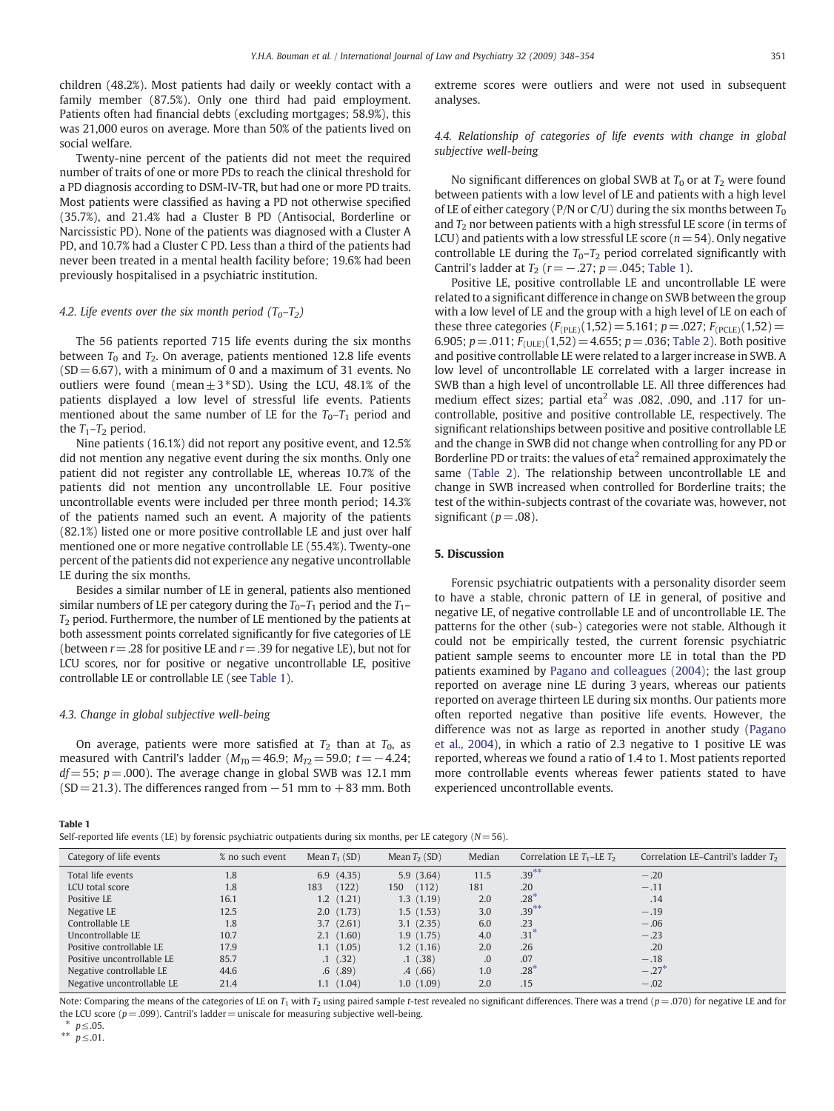children (48.2%). Most patients had daily or weekly contact with a family member (87.5%). Only one third had paid employment. Patients often had financial debts (excluding mortgages; 58.9%), this was 21,000 euros on average. More than 50% of the patients lived on social welfare.

Twenty-nine percent of the patients did not meet the required number of traits of one or more PDs to reach the clinical threshold for a PD diagnosis according to DSM-IV-TR, but had one or more PD traits. Most patients were classified as having a PD not otherwise specified (35.7%), and 21.4% had a Cluster B PD (Antisocial, Borderline or Narcissistic PD). None of the patients was diagnosed with a Cluster A PD, and 10.7% had a Cluster C PD. Less than a third of the patients had never been treated in a mental health facility before; 19.6% had been previously hospitalised in a psychiatric institution.

#### 4.2. Life events over the six month period  $(T_0-T_2)$

The 56 patients reported 715 life events during the six months between  $T_0$  and  $T_2$ . On average, patients mentioned 12.8 life events  $(SD = 6.67)$ , with a minimum of 0 and a maximum of 31 events. No outliers were found (mean $\pm 3*$ SD). Using the LCU, 48.1% of the patients displayed a low level of stressful life events. Patients mentioned about the same number of LE for the  $T_0-T_1$  period and the  $T_1$ – $T_2$  period.

Nine patients (16.1%) did not report any positive event, and 12.5% did not mention any negative event during the six months. Only one patient did not register any controllable LE, whereas 10.7% of the patients did not mention any uncontrollable LE. Four positive uncontrollable events were included per three month period; 14.3% of the patients named such an event. A majority of the patients (82.1%) listed one or more positive controllable LE and just over half mentioned one or more negative controllable LE (55.4%). Twenty-one percent of the patients did not experience any negative uncontrollable LE during the six months.

Besides a similar number of LE in general, patients also mentioned similar numbers of LE per category during the  $T_0$ – $T_1$  period and the  $T_1$ –  $T<sub>2</sub>$  period. Furthermore, the number of LE mentioned by the patients at both assessment points correlated significantly for five categories of LE (between  $r = .28$  for positive LE and  $r = .39$  for negative LE), but not for LCU scores, nor for positive or negative uncontrollable LE, positive controllable LE or controllable LE (see Table 1).

# 4.3. Change in global subjective well-being

On average, patients were more satisfied at  $T_2$  than at  $T_0$ , as measured with Cantril's ladder ( $M_{T0}$ = 46.9;  $M_{T2}$ = 59.0; t= −4.24;  $df = 55$ ;  $p = .000$ ). The average change in global SWB was 12.1 mm  $(SD= 21.3)$ . The differences ranged from  $-51$  mm to  $+83$  mm. Both

| . .<br>. . |  |
|------------|--|
|------------|--|

Self-reported life events (LE) by forensic psychiatric outpatients during six months, per LE category (N= 56).

extreme scores were outliers and were not used in subsequent analyses.

# 4.4. Relationship of categories of life events with change in global subjective well-being

No significant differences on global SWB at  $T_0$  or at  $T_2$  were found between patients with a low level of LE and patients with a high level of LE of either category (P/N or C/U) during the six months between  $T_0$ and  $T<sub>2</sub>$  nor between patients with a high stressful LE score (in terms of LCU) and patients with a low stressful LE score ( $n=54$ ). Only negative controllable LE during the  $T_0 - T_2$  period correlated significantly with Cantril's ladder at  $T_2$  ( $r = -.27$ ;  $p = .045$ ; Table 1).

Positive LE, positive controllable LE and uncontrollable LE were related to a significant difference in change on SWB between the group with a low level of LE and the group with a high level of LE on each of these three categories  $(F_{(PLE)}(1,52)= 5.161; p = .027; F_{(PCLE)}(1,52)=$ 6.905;  $p = .011$ ;  $F_{(ULE)}(1,52) = 4.655$ ;  $p = .036$ ; [Table 2\)](#page-4-0). Both positive and positive controllable LE were related to a larger increase in SWB. A low level of uncontrollable LE correlated with a larger increase in SWB than a high level of uncontrollable LE. All three differences had medium effect sizes; partial eta<sup>2</sup> was .082, .090, and .117 for uncontrollable, positive and positive controllable LE, respectively. The significant relationships between positive and positive controllable LE and the change in SWB did not change when controlling for any PD or Borderline PD or traits: the values of  $eta<sup>2</sup>$  remained approximately the same ([Table 2](#page-4-0)). The relationship between uncontrollable LE and change in SWB increased when controlled for Borderline traits; the test of the within-subjects contrast of the covariate was, however, not significant ( $p = .08$ ).

# 5. Discussion

Forensic psychiatric outpatients with a personality disorder seem to have a stable, chronic pattern of LE in general, of positive and negative LE, of negative controllable LE and of uncontrollable LE. The patterns for the other (sub-) categories were not stable. Although it could not be empirically tested, the current forensic psychiatric patient sample seems to encounter more LE in total than the PD patients examined by [Pagano and colleagues \(2004\)](#page-5-0); the last group reported on average nine LE during 3 years, whereas our patients reported on average thirteen LE during six months. Our patients more often reported negative than positive life events. However, the difference was not as large as reported in another study [\(Pagano](#page-5-0) [et al., 2004\)](#page-5-0), in which a ratio of 2.3 negative to 1 positive LE was reported, whereas we found a ratio of 1.4 to 1. Most patients reported more controllable events whereas fewer patients stated to have experienced uncontrollable events.

| Category of life events    | % no such event | Mean $T_1$ (SD) | Mean $T_2(SD)$    | Median | Correlation LE $T_1$ –LE $T_2$ | Correlation LE-Cantril's ladder $T_2$ |
|----------------------------|-----------------|-----------------|-------------------|--------|--------------------------------|---------------------------------------|
| Total life events          | 1.8             | 6.9(4.35)       | 5.9(3.64)         | 11.5   | $.39***$                       | $-.20$                                |
| LCU total score            | 1.8             | (122)<br>183    | (112)<br>150      | 181    | .20                            | $-.11$                                |
| Positive LE                | 16.1            | 1.2(1.21)       | 1.3(1.19)         | 2.0    | $.28*$                         | .14                                   |
| Negative LE                | 12.5            | 2.0(1.73)       | 1.5(1.53)         | 3.0    | $.39***$                       | $-.19$                                |
| Controllable LE            | 1.8             | 3.7(2.61)       | 3.1(2.35)         | 6.0    | .23                            | $-.06$                                |
| Uncontrollable LE          | 10.7            | 2.1(1.60)       | 1.9(1.75)         | 4.0    | $.31*$                         | $-.23$                                |
| Positive controllable LE   | 17.9            | 1.1(1.05)       | 1.2 (1.16)        | 2.0    | .26                            | .20                                   |
| Positive uncontrollable LE | 85.7            | $.1 \; (.32)$   | .1(0.38)          |        | .07                            | $-.18$                                |
| Negative controllable LE   | 44.6            | .6(.89)         | .4(0.66)          | 1.0    | $.28*$                         | $-.27$ <sup>*</sup>                   |
| Negative uncontrollable LE | 21.4            | 1.1(1.04)       | (1.09)<br>$1.0\,$ | 2.0    | .15                            | $-.02$                                |

Note: Comparing the means of the categories of LE on  $T_1$  with  $T_2$  using paired sample t-test revealed no significant differences. There was a trend ( $p = .070$ ) for negative LE and for the LCU score ( $p = .099$ ). Cantril's ladder = uniscale for measuring subjective well-being. ⁎ p≤.05.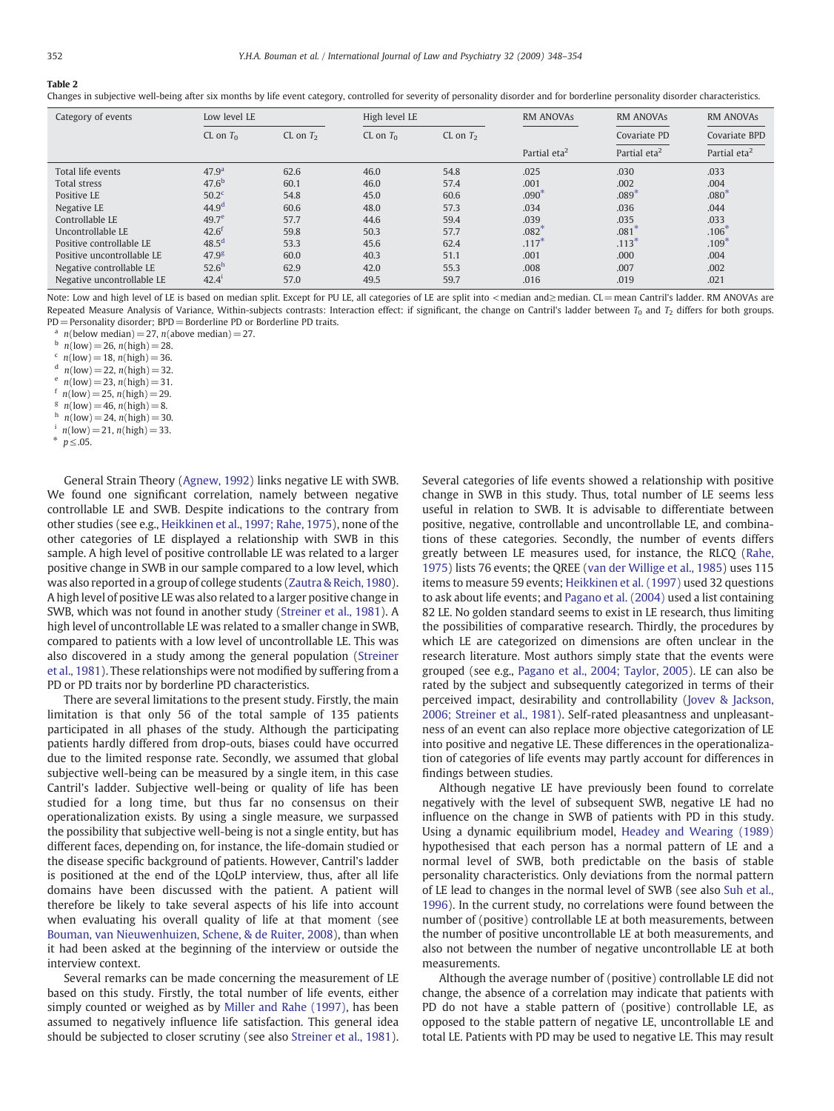#### <span id="page-4-0"></span>Table 2

Changes in subjective well-being after six months by life event category, controlled for severity of personality disorder and for borderline personality disorder characteristics.

| Category of events         | Low level LE      |            | High level LE |            | <b>RM ANOVAS</b>         | <b>RM ANOVAS</b>         | <b>RM ANOVAS</b>         |
|----------------------------|-------------------|------------|---------------|------------|--------------------------|--------------------------|--------------------------|
|                            | CL on $T_0$       | CL on $T2$ | CL on $T_0$   | CL on $T2$ |                          | Covariate PD             | Covariate BPD            |
|                            |                   |            |               |            | Partial eta <sup>2</sup> | Partial eta <sup>2</sup> | Partial eta <sup>2</sup> |
| Total life events          | 47.9 <sup>a</sup> | 62.6       | 46.0          | 54.8       | .025                     | .030                     | .033                     |
| Total stress               | 47.6 <sup>b</sup> | 60.1       | 46.0          | 57.4       | .001                     | .002                     | .004                     |
| Positive LE                | 50.2 <sup>c</sup> | 54.8       | 45.0          | 60.6       | $.090*$                  | $.089*$                  | $.080^{4}$               |
| Negative LE                | 44.9 <sup>d</sup> | 60.6       | 48.0          | 57.3       | .034                     | .036                     | .044                     |
| Controllable LE            | 49.7 <sup>e</sup> | 57.7       | 44.6          | 59.4       | .039                     | .035                     | .033                     |
| Uncontrollable LE          | $42.6^{\text{t}}$ | 59.8       | 50.3          | 57.7       | $.082*$                  | $.081$ <sup>2</sup>      | $.106*$                  |
| Positive controllable LE   | 48.5 <sup>d</sup> | 53.3       | 45.6          | 62.4       | $.117*$                  | $.113*$                  | $.109*$                  |
| Positive uncontrollable LE | 47.9 <sup>g</sup> | 60.0       | 40.3          | 51.1       | .001                     | .000                     | .004                     |
| Negative controllable LE   | 52.6 <sup>h</sup> | 62.9       | 42.0          | 55.3       | .008                     | .007                     | .002                     |
| Negative uncontrollable LE | $42.4^{i}$        | 57.0       | 49.5          | 59.7       | .016                     | .019                     | .021                     |

Note: Low and high level of LE is based on median split. Except for PU LE, all categories of LE are split into < median and≥median. CL=mean Cantril's ladder. RM ANOVAs are Repeated Measure Analysis of Variance, Within-subjects contrasts: Interaction effect: if significant, the change on Cantril's ladder between  $T_0$  and  $T_2$  differs for both groups. PD = Personality disorder; BPD = Borderline PD or Borderline PD traits.

<sup>a</sup>  $n(\text{below median}) = 27$ ,  $n(\text{above median}) = 27$ .

 $n(low) = 26$ ,  $n(high) = 28$ .

 $n_{\text{low}} = 18$ ,  $n(\text{high}) = 36$ .

 $n(\text{low}) = 22$ ,  $n(\text{high}) = 32$ .

 $n(\text{low}) = 23$ ,  $n(\text{high}) = 31$ .

 $n(low) = 25$ ,  $n(high) = 29$ .

 $n_{\text{low}} = 46$ ,  $n(\text{high}) = 8$ .

- $h$  n(low) = 24, n(high) = 30.
- $n(\text{low}) = 21, n(\text{high}) = 33.$

General Strain Theory ([Agnew, 1992](#page-5-0)) links negative LE with SWB. We found one significant correlation, namely between negative controllable LE and SWB. Despite indications to the contrary from other studies (see e.g., [Heikkinen et al., 1997; Rahe, 1975](#page-5-0)), none of the other categories of LE displayed a relationship with SWB in this sample. A high level of positive controllable LE was related to a larger positive change in SWB in our sample compared to a low level, which was also reported in a group of college students [\(Zautra & Reich, 1980](#page-6-0)). A high level of positive LE was also related to a larger positive change in SWB, which was not found in another study ([Streiner et al., 1981\)](#page-5-0). A high level of uncontrollable LE was related to a smaller change in SWB, compared to patients with a low level of uncontrollable LE. This was also discovered in a study among the general population ([Streiner](#page-5-0) [et al., 1981](#page-5-0)). These relationships were not modified by suffering from a PD or PD traits nor by borderline PD characteristics.

There are several limitations to the present study. Firstly, the main limitation is that only 56 of the total sample of 135 patients participated in all phases of the study. Although the participating patients hardly differed from drop-outs, biases could have occurred due to the limited response rate. Secondly, we assumed that global subjective well-being can be measured by a single item, in this case Cantril's ladder. Subjective well-being or quality of life has been studied for a long time, but thus far no consensus on their operationalization exists. By using a single measure, we surpassed the possibility that subjective well-being is not a single entity, but has different faces, depending on, for instance, the life-domain studied or the disease specific background of patients. However, Cantril's ladder is positioned at the end of the LQoLP interview, thus, after all life domains have been discussed with the patient. A patient will therefore be likely to take several aspects of his life into account when evaluating his overall quality of life at that moment (see [Bouman, van Nieuwenhuizen, Schene, & de Ruiter, 2008\)](#page-5-0), than when it had been asked at the beginning of the interview or outside the interview context.

Several remarks can be made concerning the measurement of LE based on this study. Firstly, the total number of life events, either simply counted or weighed as by [Miller and Rahe \(1997\)](#page-5-0), has been assumed to negatively influence life satisfaction. This general idea should be subjected to closer scrutiny (see also [Streiner et al., 1981](#page-5-0)). Several categories of life events showed a relationship with positive change in SWB in this study. Thus, total number of LE seems less useful in relation to SWB. It is advisable to differentiate between positive, negative, controllable and uncontrollable LE, and combinations of these categories. Secondly, the number of events differs greatly between LE measures used, for instance, the RLCQ [\(Rahe,](#page-5-0) [1975\)](#page-5-0) lists 76 events; the QREE ([van der Willige et al., 1985\)](#page-5-0) uses 115 items to measure 59 events; [Heikkinen et al. \(1997\)](#page-5-0) used 32 questions to ask about life events; and [Pagano et al. \(2004\)](#page-5-0) used a list containing 82 LE. No golden standard seems to exist in LE research, thus limiting the possibilities of comparative research. Thirdly, the procedures by which LE are categorized on dimensions are often unclear in the research literature. Most authors simply state that the events were grouped (see e.g., [Pagano et al., 2004; Taylor, 2005\)](#page-5-0). LE can also be rated by the subject and subsequently categorized in terms of their perceived impact, desirability and controllability [\(Jovev & Jackson,](#page-5-0) [2006; Streiner et al., 1981\)](#page-5-0). Self-rated pleasantness and unpleasantness of an event can also replace more objective categorization of LE into positive and negative LE. These differences in the operationalization of categories of life events may partly account for differences in findings between studies.

Although negative LE have previously been found to correlate negatively with the level of subsequent SWB, negative LE had no influence on the change in SWB of patients with PD in this study. Using a dynamic equilibrium model, [Headey and Wearing \(1989\)](#page-5-0) hypothesised that each person has a normal pattern of LE and a normal level of SWB, both predictable on the basis of stable personality characteristics. Only deviations from the normal pattern of LE lead to changes in the normal level of SWB (see also [Suh et al.,](#page-5-0) [1996\)](#page-5-0). In the current study, no correlations were found between the number of (positive) controllable LE at both measurements, between the number of positive uncontrollable LE at both measurements, and also not between the number of negative uncontrollable LE at both measurements.

Although the average number of (positive) controllable LE did not change, the absence of a correlation may indicate that patients with PD do not have a stable pattern of (positive) controllable LE, as opposed to the stable pattern of negative LE, uncontrollable LE and total LE. Patients with PD may be used to negative LE. This may result

 $p \leq .05$ .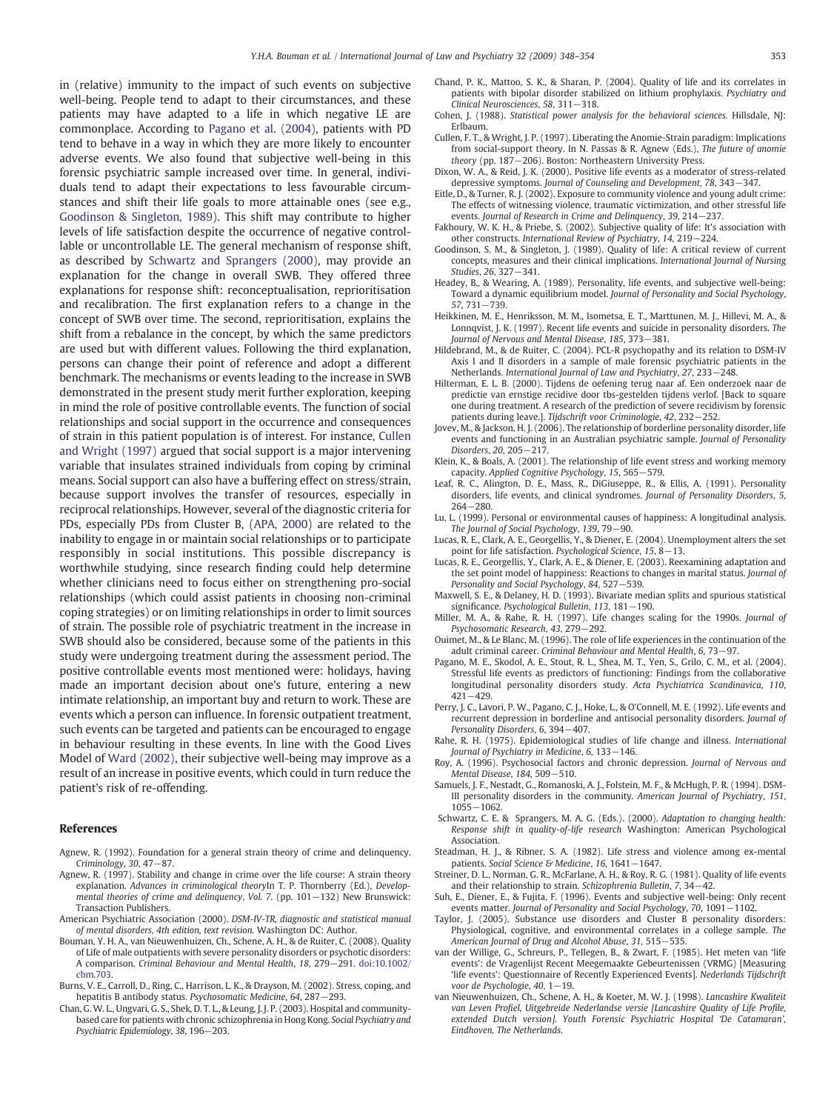<span id="page-5-0"></span>in (relative) immunity to the impact of such events on subjective well-being. People tend to adapt to their circumstances, and these patients may have adapted to a life in which negative LE are commonplace. According to Pagano et al. (2004), patients with PD tend to behave in a way in which they are more likely to encounter adverse events. We also found that subjective well-being in this forensic psychiatric sample increased over time. In general, individuals tend to adapt their expectations to less favourable circumstances and shift their life goals to more attainable ones (see e.g., Goodinson & Singleton, 1989). This shift may contribute to higher levels of life satisfaction despite the occurrence of negative controllable or uncontrollable LE. The general mechanism of response shift, as described by Schwartz and Sprangers (2000), may provide an explanation for the change in overall SWB. They offered three explanations for response shift: reconceptualisation, reprioritisation and recalibration. The first explanation refers to a change in the concept of SWB over time. The second, reprioritisation, explains the shift from a rebalance in the concept, by which the same predictors are used but with different values. Following the third explanation, persons can change their point of reference and adopt a different benchmark. The mechanisms or events leading to the increase in SWB demonstrated in the present study merit further exploration, keeping in mind the role of positive controllable events. The function of social relationships and social support in the occurrence and consequences of strain in this patient population is of interest. For instance, Cullen and Wright (1997) argued that social support is a major intervening variable that insulates strained individuals from coping by criminal means. Social support can also have a buffering effect on stress/strain, because support involves the transfer of resources, especially in reciprocal relationships. However, several of the diagnostic criteria for PDs, especially PDs from Cluster B, (APA, 2000) are related to the inability to engage in or maintain social relationships or to participate responsibly in social institutions. This possible discrepancy is worthwhile studying, since research finding could help determine whether clinicians need to focus either on strengthening pro-social relationships (which could assist patients in choosing non-criminal coping strategies) or on limiting relationships in order to limit sources of strain. The possible role of psychiatric treatment in the increase in SWB should also be considered, because some of the patients in this study were undergoing treatment during the assessment period. The positive controllable events most mentioned were: holidays, having made an important decision about one's future, entering a new intimate relationship, an important buy and return to work. These are events which a person can influence. In forensic outpatient treatment, such events can be targeted and patients can be encouraged to engage in behaviour resulting in these events. In line with the Good Lives Model of [Ward \(2002\)](#page-6-0), their subjective well-being may improve as a result of an increase in positive events, which could in turn reduce the patient's risk of re-offending.

#### References

- Agnew, R. (1992). Foundation for a general strain theory of crime and delinquency. Criminology, 30, 47−87.
- Agnew, R. (1997). Stability and change in crime over the life course: A strain theory explanation. Advances in criminological theoryIn T. P. Thornberry (Ed.), Developmental theories of crime and delinquency, Vol. 7. (pp. 101−132) New Brunswick: Transaction Publishers.
- American Psychiatric Association (2000). DSM-IV-TR, diagnostic and statistical manual of mental disorders, 4th edition, text revision. Washington DC: Author.
- Bouman, Y. H. A., van Nieuwenhuizen, Ch., Schene, A. H., & de Ruiter, C. (2008). Quality of Life of male outpatients with severe personality disorders or psychotic disorders: A comparison. Criminal Behaviour and Mental Health, 18, 279−291. doi:[10.1002/](http://dx.doi.org/10.1002/cbm.703)  $chm.703$
- Burns, V. E., Carroll, D., Ring, C., Harrison, L. K., & Drayson, M. (2002). Stress, coping, and hepatitis B antibody status. Psychosomatic Medicine, 64, 287−293.
- Chan, G. W. L., Ungvari, G. S., Shek, D. T. L., & Leung, J. J. P. (2003). Hospital and communitybased care for patients with chronic schizophrenia in Hong Kong. Social Psychiatry and Psychiatric Epidemiology, 38, 196−203.
- Chand, P. K., Mattoo, S. K., & Sharan, P. (2004). Quality of life and its correlates in patients with bipolar disorder stabilized on lithium prophylaxis. Psychiatry and Clinical Neurosciences, 58, 311−318.
- Cohen, J. (1988). Statistical power analysis for the behavioral sciences. Hillsdale, NJ: Erlbaum.
- Cullen, F. T., & Wright, J. P. (1997). Liberating the Anomie-Strain paradigm: Implications from social-support theory. In N. Passas & R. Agnew (Eds.), The future of anomie theory (pp. 187−206). Boston: Northeastern University Press.
- Dixon, W. A., & Reid, J. K. (2000). Positive life events as a moderator of stress-related depressive symptoms. Journal of Counseling and Development, 78, 343−347.
- Eitle, D., & Turner, R. J. (2002). Exposure to community violence and young adult crime: The effects of witnessing violence, traumatic victimization, and other stressful life events. Journal of Research in Crime and Delinquency, 39, 214−237.
- Fakhoury, W. K. H., & Priebe, S. (2002). Subjective quality of life: It's association with other constructs. International Review of Psychiatry, 14, 219−224.
- Goodinson, S. M., & Singleton, J. (1989). Quality of life: A critical review of current concepts, measures and their clinical implications. International Journal of Nursing Studies, 26, 327−341.
- Headey, B., & Wearing, A. (1989). Personality, life events, and subjective well-being: Toward a dynamic equilibrium model. Journal of Personality and Social Psychology, 57, 731−739.
- Heikkinen, M. E., Henriksson, M. M., Isometsa, E. T., Marttunen, M. J., Hillevi, M. A., & Lonnqvist, J. K. (1997). Recent life events and suicide in personality disorders. The Journal of Nervous and Mental Disease, 185, 373−381.
- Hildebrand, M., & de Ruiter, C. (2004). PCL-R psychopathy and its relation to DSM-IV Axis I and II disorders in a sample of male forensic psychiatric patients in the Netherlands. International Journal of Law and Psychiatry, 27, 233−248.
- Hilterman, E. L. B. (2000). Tijdens de oefening terug naar af. Een onderzoek naar de predictie van ernstige recidive door tbs-gestelden tijdens verlof. [Back to square one during treatment. A research of the prediction of severe recidivism by forensic patients during leave.]. Tijdschrift voor Criminologie, 42, 232−252.
- Jovev, M., & Jackson, H. J. (2006). The relationship of borderline personality disorder, life events and functioning in an Australian psychiatric sample. Journal of Personality Disorders, 20, 205−217.
- Klein, K., & Boals, A. (2001). The relationship of life event stress and working memory capacity. Applied Cognitive Psychology, 15, 565−579.
- Leaf, R. C., Alington, D. E., Mass, R., DiGiuseppe, R., & Ellis, A. (1991). Personality disorders, life events, and clinical syndromes. Journal of Personality Disorders, 5, 264−280.
- Lu, L. (1999). Personal or environmental causes of happiness: A longitudinal analysis. The Journal of Social Psychology, 139, 79−90.
- Lucas, R. E., Clark, A. E., Georgellis, Y., & Diener, E. (2004). Unemployment alters the set point for life satisfaction. Psychological Science, 15, 8−13.
- Lucas, R. E., Georgellis, Y., Clark, A. E., & Diener, E. (2003). Reexamining adaptation and the set point model of happiness: Reactions to changes in marital status. Journal of Personality and Social Psychology, 84, 527−539.
- Maxwell, S. E., & Delaney, H. D. (1993). Bivariate median splits and spurious statistical significance. Psychological Bulletin, 113, 181−190.
- Miller, M. A., & Rahe, R. H. (1997). Life changes scaling for the 1990s. Journal of Psychosomatic Research, 43, 279−292.
- Ouimet, M., & Le Blanc, M. (1996). The role of life experiences in the continuation of the adult criminal career. Criminal Behaviour and Mental Health, 6, 73−97.
- Pagano, M. E., Skodol, A. E., Stout, R. L., Shea, M. T., Yen, S., Grilo, C. M., et al. (2004). Stressful life events as predictors of functioning: Findings from the collaborative longitudinal personality disorders study. Acta Psychiatrica Scandinavica, 110, 421−429.
- Perry, J. C., Lavori, P. W., Pagano, C. J., Hoke, L., & O'Connell, M. E. (1992). Life events and recurrent depression in borderline and antisocial personality disorders. Journal of Personality Disorders, 6, 394−407.
- Rahe, R. H. (1975). Epidemiological studies of life change and illness. International Journal of Psychiatry in Medicine, 6, 133−146.
- Roy, A. (1996). Psychosocial factors and chronic depression. Journal of Nervous and Mental Disease, 184, 509−510.
- Samuels, J. F., Nestadt, G., Romanoski, A. J., Folstein, M. F., & McHugh, P. R. (1994). DSM-III personality disorders in the community. American Journal of Psychiatry, 151, 1055−1062.
- Schwartz, C. E. & Sprangers, M. A. G. (Eds.). (2000). Adaptation to changing health: Response shift in quality-of-life research Washington: American Psychological Association.
- Steadman, H. J., & Ribner, S. A. (1982). Life stress and violence among ex-mental patients. Social Science & Medicine, 16, 1641−1647.
- Streiner, D. L., Norman, G. R., McFarlane, A. H., & Roy, R. G. (1981). Quality of life events and their relationship to strain. Schizophrenia Bulletin, 7, 34−42.
- Suh, E., Diener, E., & Fujita, F. (1996). Events and subjective well-being: Only recent events matter. Journal of Personality and Social Psychology, 70, 1091−1102.
- Taylor, J. (2005). Substance use disorders and Cluster B personality disorders: Physiological, cognitive, and environmental correlates in a college sample. The American Journal of Drug and Alcohol Abuse, 31, 515−535.
- van der Willige, G., Schreurs, P., Tellegen, B., & Zwart, F. (1985). Het meten van 'life events': de Vragenlijst Recent Meegemaakte Gebeurtenissen (VRMG) [Measuring 'life events': Questionnaire of Recently Experienced Events]. Nederlands Tijdschrift voor de Psychologie, 40, 1−19.
- van Nieuwenhuizen, Ch., Schene, A. H., & Koeter, M. W. J. (1998). Lancashire Kwaliteit van Leven Profiel, Uitgebreide Nederlandse versie [Lancashire Quality of Life Profile, extended Dutch version]. Youth Forensic Psychiatric Hospital 'De Catamaran', Eindhoven, The Netherlands.